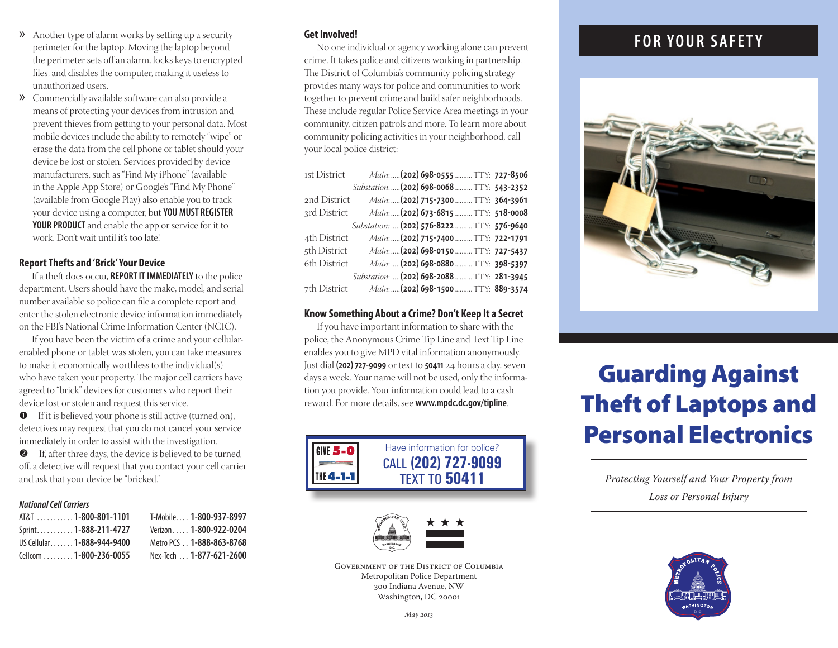- » Another type of alarm works by setting up a security perimeter for the laptop. Moving the laptop beyond the perimeter sets off an alarm, locks keys to encrypted files, and disables the computer, making it useless to unauthorized users.
- » Commercially available software can also provide a means of protecting your devices from intrusion and prevent thieves from getting to your personal data. Most mobile devices include the ability to remotely "wipe" or erase the data from the cell phone or tablet should your device be lost or stolen. Services provided by device manufacturers, such as "Find My iPhone" (available in the Apple App Store) or Google's "Find My Phone" (available from Google Play) also enable you to track your device using a computer, but **YOU MUST REGISTER YOUR PRODUCT** and enable the app or service for it to work. Don't wait until it's too late!

#### **Report Thefts and 'Brick' Your Device**

If a theft does occur, **REPORT IT IMMEDIATELY** to the police department. Users should have the make, model, and serial number available so police can file a complete report and enter the stolen electronic device information immediately on the FBI's National Crime Information Center (NCIC).

If you have been the victim of a crime and your cellularenabled phone or tablet was stolen, you can take measures to make it economically worthless to the individual(s) who have taken your property. The major cell carriers have agreed to "brick" devices for customers who report their device lost or stolen and request this service.

 If it is believed your phone is still active (turned on), detectives may request that you do not cancel your service immediately in order to assist with the investigation.

 If, after three days, the device is believed to be turned off, a detective will request that you contact your cell carrier and ask that your device be "bricked."

#### *National Cell Carriers*

| AT&T 1-800-801-1101        | T-Mobile 1-800-937-8997  |
|----------------------------|--------------------------|
| Sprint1-888-211-4727       | Verizon 1-800-922-0204   |
| US Cellular 1-888-944-9400 | Metro PCS 1-888-863-8768 |
| Cellcom  1-800-236-0055    | Nex-Tech  1-877-621-2600 |

#### **Get Involved!**

No one individual or agency working alone can prevent crime. It takes police and citizens working in partnership. The District of Columbia's community policing strategy provides many ways for police and communities to work together to prevent crime and build safer neighborhoods. These include regular Police Service Area meetings in your community, citizen patrols and more. To learn more about community policing activities in your neighborhood, call your local police district:

| 1st District | Main:  (202) 698-0555  TTY: 727-8506       |  |
|--------------|--------------------------------------------|--|
|              | Substation:  (202) 698-0068  TTY: 543-2352 |  |
| 2nd District | Main:  (202) 715-7300  TTY: 364-3961       |  |
| 3rd District | Main:  (202) 673-6815  TTY: 518-0008       |  |
|              | Substation:  (202) 576-8222  TTY: 576-9640 |  |
| 4th District | Main:  (202) 715-7400  TTY: 722-1791       |  |
| 5th District | Main:  (202) 698-0150  TTY: 727-5437       |  |
| 6th District | Main:  (202) 698-0880  TTY: 398-5397       |  |
|              | Substation:  (202) 698-2088  TTY: 281-3945 |  |
| 7th District | Main:  (202) 698-1500  TTY: 889-3574       |  |

#### **Know Something About a Crime? Don't Keep It a Secret**

If you have important information to share with the police, the Anonymous Crime Tip Line and Text Tip Line enables you to give MPD vital information anonymously. Just dial **(202) 727-9099** or text to **50411** 24 hours a day, seven days a week. Your name will not be used, only the information you provide. Your information could lead to a cash reward. For more details, see **www.mpdc.dc.gov/tipline**.





Government of the District of Columbia Metropolitan Police Department 300 Indiana Avenue, NW Washington, DC 20001

## **FOR YOUR SAFETY**



## Guarding Against Theft of Laptops and Personal Electronics

*Protecting Yourself and Your Property from Loss or Personal Injury*